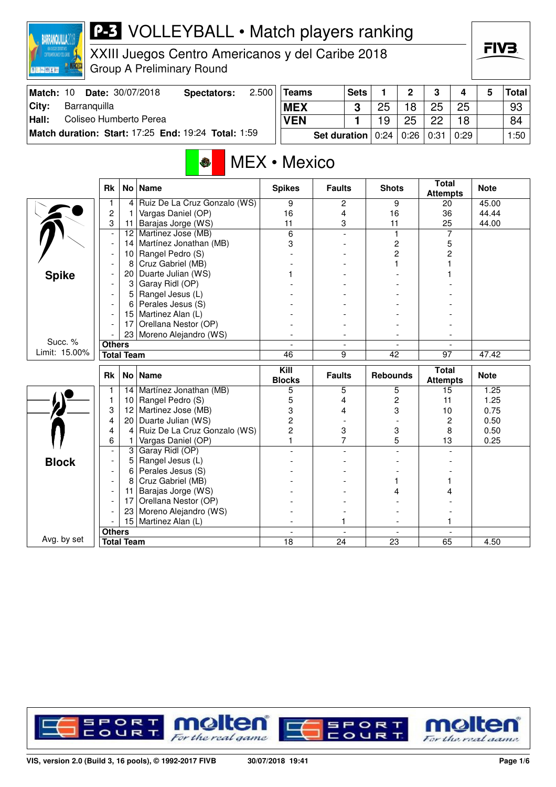

XXIII Juegos Centro Americanos y del Caribe 2018 Group A Preliminary Round

| Match: 10 |              | <b>Date: 30/07/2018</b> | Spectators:                                         | 2.500 | <b>Teams</b> |                            | <b>Sets</b> |    | ∩  | ≏    |      | Total             |
|-----------|--------------|-------------------------|-----------------------------------------------------|-------|--------------|----------------------------|-------------|----|----|------|------|-------------------|
| City:     | Barranguilla |                         |                                                     |       | <b>MEX</b>   |                            | ົ           | 25 | 8  | 25   | 25   | 93                |
| Hall:     |              | Coliseo Humberto Perea  |                                                     |       | <b>VEN</b>   |                            |             | 19 | 25 | ດດ   | 18   | 84                |
|           |              |                         | Match duration: Start: 17:25 End: 19:24 Total: 1:59 |       |              | Set duration $ 0:24 0:26 $ |             |    |    | 0:31 | 0:29 | 1:50 <sub>1</sub> |

# MEX • Mexico

|               | <b>Rk</b>                |                | No   Name                    | <b>Spikes</b>        | <b>Faults</b>                  | <b>Shots</b>                   | <b>Total</b><br><b>Attempts</b> | <b>Note</b> |
|---------------|--------------------------|----------------|------------------------------|----------------------|--------------------------------|--------------------------------|---------------------------------|-------------|
|               | 1                        | 4              | Ruiz De La Cruz Gonzalo (WS) | 9                    | 2                              | 9                              | 20                              | 45.00       |
|               | $\overline{c}$           | 1              | Vargas Daniel (OP)           | 16                   | 4                              | 16                             | 36                              | 44.44       |
|               | 3                        | 11             | Barajas Jorge (WS)           | 11                   | 3                              | 11                             | 25                              | 44.00       |
|               | $\overline{a}$           | 12             | Martinez Jose (MB)           | 6                    | $\overline{a}$                 | $\mathbf{1}$                   | $\overline{7}$                  |             |
|               | $\overline{\phantom{a}}$ | 14             | Martínez Jonathan (MB)       | 3                    |                                | $\overline{c}$                 | 5                               |             |
|               |                          | 10             | Rangel Pedro (S)             |                      |                                | $\overline{c}$                 | $\overline{c}$                  |             |
|               |                          | 8              | Cruz Gabriel (MB)            |                      |                                |                                |                                 |             |
| <b>Spike</b>  |                          | 20             | Duarte Julian (WS)           |                      |                                |                                |                                 |             |
|               |                          | 3              | Garay Ridl (OP)              |                      |                                |                                |                                 |             |
|               |                          | 5              | Rangel Jesus (L)             |                      |                                |                                |                                 |             |
|               |                          | 6              | Perales Jesus (S)            |                      |                                |                                |                                 |             |
|               |                          | 15             | Martinez Alan (L)            |                      |                                |                                |                                 |             |
|               |                          | 17             | Orellana Nestor (OP)         |                      |                                |                                |                                 |             |
|               |                          |                | 23 Moreno Alejandro (WS)     |                      | ۰.                             |                                |                                 |             |
| Succ. %       | <b>Others</b>            |                |                              | $\overline{a}$       | $\blacksquare$                 | $\blacksquare$                 |                                 |             |
| Limit: 15.00% | <b>Total Team</b>        |                |                              | 46                   | 9                              | 42                             | 97                              | 47.42       |
|               |                          |                | No   Name                    | $\overline{K}$ ill   |                                |                                | <b>Total</b>                    |             |
|               | <b>Rk</b>                |                |                              | <b>Blocks</b>        | <b>Faults</b>                  | <b>Rebounds</b>                | <b>Attempts</b>                 | <b>Note</b> |
|               | 1                        | 14             | Martínez Jonathan (MB)       | 5                    | 5                              | 5                              | 15                              | 1.25        |
|               | $\mathbf{1}$             | 10             | Rangel Pedro (S)             | 5                    | 4                              | $\overline{c}$                 | 11                              | 1.25        |
|               | 3                        | 12             | Martinez Jose (MB)           | 3                    | 4                              | 3                              | 10                              | 0.75        |
|               | 4                        | 20             | Duarte Julian (WS)           | 2                    |                                |                                | $\overline{2}$                  | 0.50        |
|               | 4                        | $\overline{4}$ | Ruiz De La Cruz Gonzalo (WS) | $\overline{2}$       | 3                              | 3                              | 8                               | 0.50        |
|               | 6                        | 1              | Vargas Daniel (OP)           |                      | 7                              | 5                              | 13                              | 0.25        |
|               |                          | 3              | Garay Ridl (OP)              |                      |                                |                                |                                 |             |
|               |                          | 5              | Rangel Jesus (L)             |                      |                                |                                |                                 |             |
| <b>Block</b>  |                          | 6              | Perales Jesus (S)            |                      |                                |                                |                                 |             |
|               | $\overline{\phantom{a}}$ | 8              | Cruz Gabriel (MB)            |                      |                                |                                |                                 |             |
|               |                          | 11             | Barajas Jorge (WS)           |                      |                                |                                |                                 |             |
|               |                          | 17             | Orellana Nestor (OP)         |                      |                                |                                |                                 |             |
|               |                          | 23             | Moreno Alejandro (WS)        |                      |                                |                                |                                 |             |
|               |                          | 15             | Martinez Alan (L)            |                      | 1                              |                                |                                 |             |
| Avg. by set   | <b>Others</b>            |                |                              | $\blacksquare$<br>18 | $\overline{\phantom{a}}$<br>24 | $\overline{\phantom{a}}$<br>23 | $\blacksquare$                  |             |

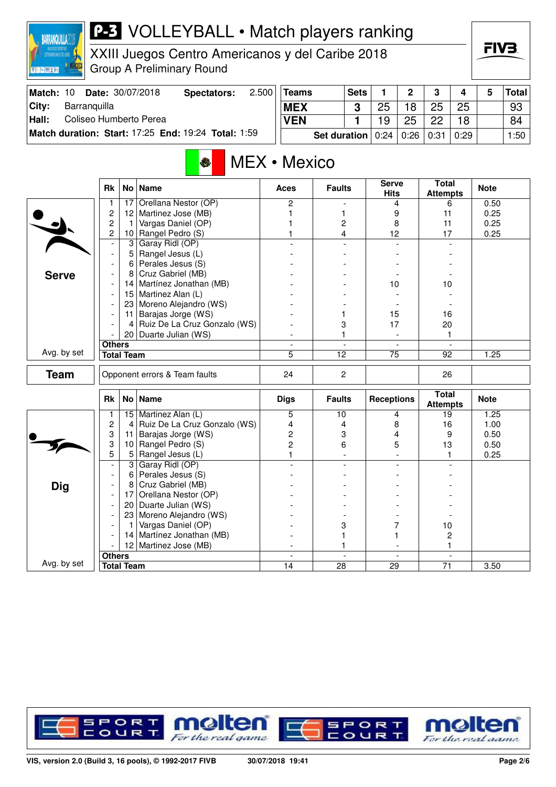

XXIII Juegos Centro Americanos y del Caribe 2018 Group A Preliminary Round

| Match: 10 |              | <b>Date: 30/07/2018</b> | Spectators:                                                | 2.500 | <b>Teams</b> |                                          | <b>Sets</b> |    | <sup>o</sup> | $\mathbf{\Omega}$ |      | Total│ |
|-----------|--------------|-------------------------|------------------------------------------------------------|-------|--------------|------------------------------------------|-------------|----|--------------|-------------------|------|--------|
| City:     | Barranguilla |                         |                                                            |       | <b>MEX</b>   |                                          |             | 25 | 18           | 25                | 25   | 93     |
| Hall:     |              | Coliseo Humberto Perea  |                                                            |       | <b>VEN</b>   |                                          |             | 19 | 25           | つつ                | 18   | 84     |
|           |              |                         | <b>Match duration: Start: 17:25 End: 19:24 Total: 1:59</b> |       |              | <b>Set duration</b> $0.24   0.26   0.31$ |             |    |              |                   | 0:29 | 1:50   |

# MEX • Mexico

|              | <b>Rk</b>                |                   | No   Name                     | <b>Aces</b>    | <b>Faults</b>   | <b>Serve</b><br><b>Hits</b> | <b>Total</b><br><b>Attempts</b> | <b>Note</b> |
|--------------|--------------------------|-------------------|-------------------------------|----------------|-----------------|-----------------------------|---------------------------------|-------------|
|              | 1                        | 17                | Orellana Nestor (OP)          | $\overline{2}$ |                 | 4                           | 6                               | 0.50        |
|              | $\overline{c}$           | 12                | Martinez Jose (MB)            | 1              | 1               | 9                           | 11                              | 0.25        |
|              | $\overline{c}$           | 1                 | Vargas Daniel (OP)            |                | 2               | 8                           | 11                              | 0.25        |
|              | $\overline{c}$           | 10                | Rangel Pedro (S)              |                | 4               | 12                          | 17                              | 0.25        |
|              | L,                       | 3                 | Garay Ridl (OP)               |                | $\overline{a}$  | $\overline{a}$              |                                 |             |
|              | $\overline{\phantom{a}}$ | 5                 | Rangel Jesus (L)              |                |                 |                             |                                 |             |
|              |                          | 6                 | Perales Jesus (S)             |                |                 |                             |                                 |             |
| <b>Serve</b> | $\overline{a}$           | 8                 | Cruz Gabriel (MB)             |                |                 |                             |                                 |             |
|              |                          | 14                | Martínez Jonathan (MB)        |                |                 | 10                          | 10                              |             |
|              | $\overline{\phantom{a}}$ | 15 <sup>1</sup>   | Martinez Alan (L)             |                |                 |                             |                                 |             |
|              |                          | 23                | Moreno Alejandro (WS)         |                |                 |                             |                                 |             |
|              | $\overline{\phantom{a}}$ | 11                | Barajas Jorge (WS)            |                | 1               | 15                          | 16                              |             |
|              |                          | $\vert$           | Ruiz De La Cruz Gonzalo (WS)  |                | 3               | 17                          | 20                              |             |
|              |                          |                   | 20 Duarte Julian (WS)         |                | 1               | $\blacksquare$              | 1                               |             |
|              | <b>Others</b>            |                   |                               | $\blacksquare$ | $\blacksquare$  | $\overline{\phantom{a}}$    | $\blacksquare$                  |             |
| Avg. by set  | <b>Total Team</b>        |                   |                               | 5              | 12              | 75                          | 92                              | 1.25        |
| <b>Team</b>  |                          |                   | Opponent errors & Team faults | 24             | $\overline{c}$  |                             | 26                              |             |
|              | <b>Rk</b>                |                   | No   Name                     | <b>Digs</b>    | <b>Faults</b>   | <b>Receptions</b>           | <b>Total</b><br><b>Attempts</b> | <b>Note</b> |
|              | 1                        |                   | 15 Martinez Alan (L)          | 5              | $\overline{10}$ | 4                           | 19                              | 1.25        |
|              | $\overline{c}$           | 4                 | Ruiz De La Cruz Gonzalo (WS)  | 4              | 4               | 8                           | 16                              | 1.00        |
|              | 3                        | 11                | Barajas Jorge (WS)            | $\overline{c}$ | 3               | 4                           | 9                               | 0.50        |
|              | 3                        | 10                | Rangel Pedro (S)              | $\overline{2}$ | 6               | 5                           | 13                              | 0.50        |
|              | 5                        | 5                 | Rangel Jesus (L)              | $\mathbf{1}$   |                 |                             | 1                               | 0.25        |
|              | $\overline{a}$           | 3                 | Garay Ridl (OP)               |                |                 | $\overline{\phantom{a}}$    |                                 |             |
|              | $\blacksquare$           | 6                 | Perales Jesus (S)             |                |                 |                             |                                 |             |
| Dig          |                          | 8                 | Cruz Gabriel (MB)             |                |                 |                             |                                 |             |
|              | $\overline{\phantom{a}}$ | 17 <sup>1</sup>   | Orellana Nestor (OP)          |                |                 |                             |                                 |             |
|              | $\blacksquare$           | 20 <sub>1</sub>   | Duarte Julian (WS)            |                |                 |                             |                                 |             |
|              |                          |                   | 23 Moreno Alejandro (WS)      |                |                 |                             |                                 |             |
|              | $\overline{\phantom{a}}$ | $\mathbf{1}$      | Vargas Daniel (OP)            |                | 3               | 7                           | 10                              |             |
|              |                          | 14                | Martínez Jonathan (MB)        |                | 1               |                             | $\overline{c}$                  |             |
|              |                          |                   | 12 Martinez Jose (MB)         |                | 1               |                             | 1                               |             |
|              | <b>Others</b>            |                   |                               |                |                 | $\overline{\phantom{a}}$    |                                 |             |
| Avg. by set  |                          | <b>Total Team</b> |                               | 14             | 28              | 29                          | 71                              | 3.50        |

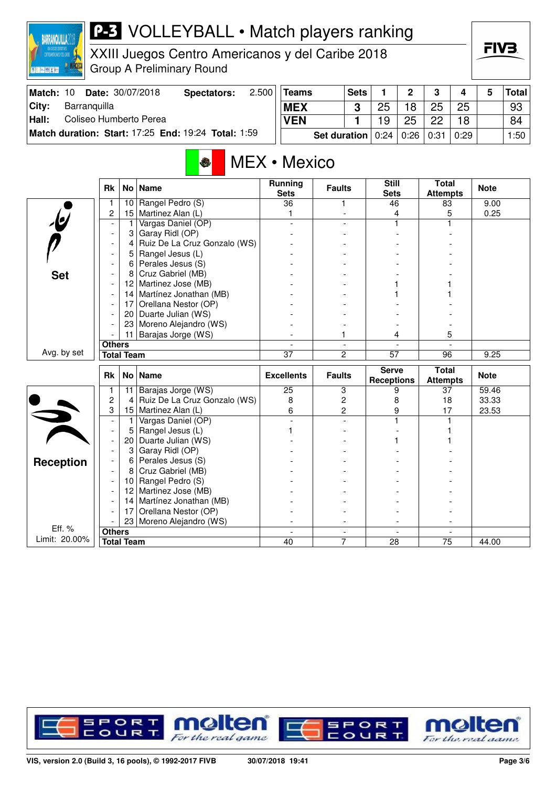

XXIII Juegos Centro Americanos y del Caribe 2018 Group A Preliminary Round

| Match: 10 |              | <b>Date: 30/07/2018</b> | Spectators:                                         | 2.500 | <b>Teams</b> |                                          | <b>Sets</b> |    | ◠  | າ  |      | <b>Total</b> |
|-----------|--------------|-------------------------|-----------------------------------------------------|-------|--------------|------------------------------------------|-------------|----|----|----|------|--------------|
| City:     | Barranquilla |                         |                                                     |       | <b>MEX</b>   |                                          |             | 25 | 18 | 25 | 25   | 93           |
| Hall:     |              | Coliseo Humberto Perea  |                                                     |       | <b>VEN</b>   |                                          |             | 19 | 25 | クク | 18   | 84           |
|           |              |                         | Match duration: Start: 17:25 End: 19:24 Total: 1:59 |       |              | <b>Set duration</b> $0.24   0.26   0.31$ |             |    |    |    | 0:29 | 1:50         |

# MEX • Mexico

|                         | <b>Rk</b>                | No l              | <b>Name</b>                  | <b>Running</b><br><b>Sets</b> | <b>Faults</b>            | <b>Still</b><br><b>Sets</b>       | <b>Total</b><br><b>Attempts</b> | <b>Note</b> |
|-------------------------|--------------------------|-------------------|------------------------------|-------------------------------|--------------------------|-----------------------------------|---------------------------------|-------------|
|                         | 1                        | 10 <sup>1</sup>   | Rangel Pedro (S)             | $\overline{36}$               | 1                        | 46                                | 83                              | 9.00        |
|                         | $\overline{c}$           | 15                | Martinez Alan (L)            | 1                             |                          | 4                                 | 5                               | 0.25        |
| $\overline{\mathbf{e}}$ |                          | 1                 | Vargas Daniel (OP)           |                               |                          |                                   |                                 |             |
|                         |                          | 3                 | Garay Ridl (OP)              |                               |                          |                                   |                                 |             |
|                         |                          | 4                 | Ruiz De La Cruz Gonzalo (WS) |                               |                          |                                   |                                 |             |
|                         |                          | 5                 | Rangel Jesus (L)             |                               |                          |                                   |                                 |             |
|                         |                          | 6                 | Perales Jesus (S)            |                               |                          |                                   |                                 |             |
| <b>Set</b>              |                          | 8                 | Cruz Gabriel (MB)            |                               |                          |                                   |                                 |             |
|                         |                          | 12                | Martinez Jose (MB)           |                               |                          |                                   |                                 |             |
|                         |                          | 14                | Martínez Jonathan (MB)       |                               |                          |                                   |                                 |             |
|                         |                          | 17                | Orellana Nestor (OP)         |                               |                          |                                   |                                 |             |
|                         |                          | 20                | Duarte Julian (WS)           |                               |                          |                                   |                                 |             |
|                         |                          | 23                | Moreno Alejandro (WS)        |                               |                          |                                   |                                 |             |
|                         |                          | 11                | Barajas Jorge (WS)           |                               | 1                        | 4                                 | 5                               |             |
|                         | <b>Others</b>            |                   |                              |                               | $\overline{\phantom{a}}$ |                                   |                                 |             |
| Avg. by set             |                          | <b>Total Team</b> |                              | $\overline{37}$               | $\overline{2}$           | $\overline{57}$                   | 96                              | 9.25        |
|                         |                          |                   |                              |                               |                          |                                   |                                 |             |
|                         | <b>Rk</b>                |                   | No   Name                    | <b>Excellents</b>             | <b>Faults</b>            | <b>Serve</b><br><b>Receptions</b> | <b>Total</b><br><b>Attempts</b> | <b>Note</b> |
|                         | 1                        | 11                | Barajas Jorge (WS)           | 25                            | 3                        | 9                                 | 37                              | 59.46       |
|                         | $\overline{c}$           | 4                 | Ruiz De La Cruz Gonzalo (WS) | 8                             | $\overline{c}$           | 8                                 | 18                              | 33.33       |
|                         | 3                        | 15                | Martinez Alan (L)            | 6                             | $\overline{c}$           | 9                                 | 17                              | 23.53       |
|                         |                          | 1                 | Vargas Daniel (OP)           |                               |                          |                                   |                                 |             |
|                         | $\overline{\phantom{a}}$ | 5                 | Rangel Jesus (L)             |                               |                          |                                   |                                 |             |
|                         | $\overline{\phantom{a}}$ | 20                | Duarte Julian (WS)           |                               |                          |                                   |                                 |             |
|                         | $\overline{\phantom{a}}$ | 3                 | Garay Ridl (OP)              |                               |                          |                                   |                                 |             |
|                         |                          | 6                 | Perales Jesus (S)            |                               |                          |                                   |                                 |             |
| <b>Reception</b>        |                          | 8                 | Cruz Gabriel (MB)            |                               |                          |                                   |                                 |             |
|                         | $\overline{\phantom{a}}$ | 10                | Rangel Pedro (S)             |                               |                          |                                   |                                 |             |
|                         | $\overline{\phantom{a}}$ | 12                | Martinez Jose (MB)           |                               |                          |                                   |                                 |             |
|                         | $\overline{\phantom{a}}$ | 14                | Martínez Jonathan (MB)       |                               |                          |                                   |                                 |             |
|                         |                          | 17                | Orellana Nestor (OP)         |                               |                          |                                   |                                 |             |
|                         |                          | 23                | Moreno Alejandro (WS)        |                               |                          |                                   |                                 |             |
| Eff. %<br>Limit: 20.00% | <b>Others</b>            | <b>Total Team</b> |                              | $\blacksquare$<br>40          | $\blacksquare$<br>7      | $\blacksquare$<br>28              | $\blacksquare$<br>75            | 44.00       |

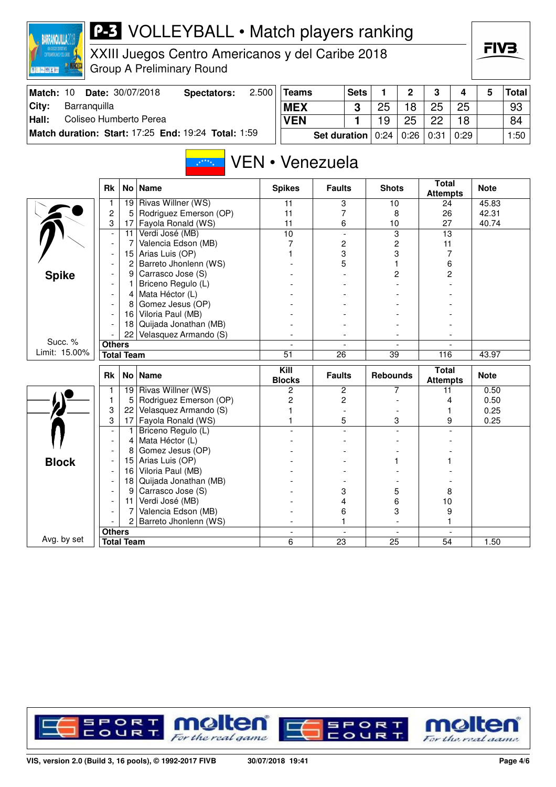

XXIII Juegos Centro Americanos y del Caribe 2018 Group A Preliminary Round

| Match: 10 | <b>Date: 30/07/2018</b>                             | Spectators: | 2.500 | <b>Teams</b> | <b>Sets</b>                                    |    | $\Omega$ | $\mathbf{\Omega}$ |      | Total <b> </b> |
|-----------|-----------------------------------------------------|-------------|-------|--------------|------------------------------------------------|----|----------|-------------------|------|----------------|
| City:     | Barranquilla                                        |             |       | <b>MEX</b>   |                                                | 25 | 18       | 25                | 25   | 93             |
| Hall:     | Coliseo Humberto Perea                              |             |       | <b>VEN</b>   |                                                | 19 | 25       | 22                | 18   | 84             |
|           | Match duration: Start: 17:25 End: 19:24 Total: 1:59 |             |       |              | <b>Set duration</b> $0.24 \mid 0.26 \mid 0.31$ |    |          |                   | 0:29 | 1:50           |

#### VEN • Venezuela  $x^{k \times k}$

|               | <b>Rk</b>                | No                | <b>Name</b>            | <b>Spikes</b>            | <b>Faults</b>            | <b>Shots</b>             | <b>Total</b><br><b>Attempts</b> | <b>Note</b> |
|---------------|--------------------------|-------------------|------------------------|--------------------------|--------------------------|--------------------------|---------------------------------|-------------|
|               |                          | 19                | Rivas Willner (WS)     | 11                       | 3                        | 10                       | 24                              | 45.83       |
|               | $\overline{c}$           | 5                 | Rodriguez Emerson (OP) | 11                       | 7                        | 8                        | 26                              | 42.31       |
|               | 3                        | 17                | Fayola Ronald (WS)     | 11                       | 6                        | 10                       | 27                              | 40.74       |
|               | $\overline{\phantom{a}}$ | 11                | Verdi José (MB)        | $\overline{10}$          | $\blacksquare$           | $\overline{3}$           | 13                              |             |
|               | $\overline{\phantom{a}}$ | 7                 | Valencia Edson (MB)    | 7                        | 2                        | $\overline{c}$           | 11                              |             |
|               | $\overline{\phantom{a}}$ | 15                | Arias Luis (OP)        |                          | 3                        | 3                        | 7                               |             |
|               |                          | 2                 | Barreto Jhonlenn (WS)  |                          | 5                        |                          | 6                               |             |
| <b>Spike</b>  |                          | 9                 | Carrasco Jose (S)      |                          |                          | 2                        | 2                               |             |
|               |                          |                   | Briceno Regulo (L)     |                          |                          |                          |                                 |             |
|               |                          | 4                 | Mata Héctor (L)        |                          |                          |                          |                                 |             |
|               |                          | 8                 | Gomez Jesus (OP)       |                          |                          |                          |                                 |             |
|               |                          | 16                | Viloria Paul (MB)      |                          |                          |                          |                                 |             |
|               |                          | 18                | Quijada Jonathan (MB)  |                          |                          |                          |                                 |             |
|               |                          | 22                | Velasquez Armando (S)  |                          |                          |                          |                                 |             |
| Succ. %       | <b>Others</b>            |                   |                        |                          | $\overline{\phantom{a}}$ | $\overline{\phantom{a}}$ |                                 |             |
| Limit: 15.00% |                          | <b>Total Team</b> |                        | $\overline{51}$          | $\overline{26}$          | $\overline{39}$          | 116                             | 43.97       |
|               |                          |                   |                        |                          |                          |                          |                                 |             |
|               | <b>Rk</b>                | No <sub>1</sub>   | <b>Name</b>            | Kill<br><b>Blocks</b>    | <b>Faults</b>            | <b>Rebounds</b>          | <b>Total</b><br><b>Attempts</b> | <b>Note</b> |
|               | 1                        | 19                | Rivas Willner (WS)     | $\overline{c}$           | 2                        | 7                        | 11                              | 0.50        |
|               | 1                        | 5                 | Rodriguez Emerson (OP) | 2                        | $\overline{c}$           |                          | 4                               | 0.50        |
|               | 3                        | 22                | Velasquez Armando (S)  |                          |                          |                          |                                 | 0.25        |
|               | 3                        | 17                | Fayola Ronald (WS)     |                          | 5                        | 3                        | 9                               | 0.25        |
|               | $\overline{\phantom{a}}$ | 1                 | Briceno Regulo (L)     |                          |                          |                          |                                 |             |
|               |                          | 4                 | Mata Héctor (L)        |                          |                          |                          |                                 |             |
|               |                          | 8                 | Gomez Jesus (OP)       |                          |                          |                          |                                 |             |
|               |                          | 15                | Arias Luis (OP)        |                          |                          |                          |                                 |             |
| <b>Block</b>  |                          | 16                | Viloria Paul (MB)      |                          |                          |                          |                                 |             |
|               |                          | 18                | Quijada Jonathan (MB)  |                          |                          |                          |                                 |             |
|               |                          | 9                 | Carrasco Jose (S)      |                          | 3                        | 5                        | 8                               |             |
|               |                          | 11                | Verdi José (MB)        |                          | 4                        | 6                        | 10                              |             |
|               |                          | 7                 | Valencia Edson (MB)    |                          | 6                        | 3                        | 9                               |             |
|               |                          | $\overline{2}$    | Barreto Jhonlenn (WS)  |                          | 1                        | $\blacksquare$           |                                 |             |
| Avg. by set   | <b>Others</b>            |                   |                        | $\overline{\phantom{a}}$ | $\overline{\phantom{a}}$ | $\blacksquare$           |                                 |             |

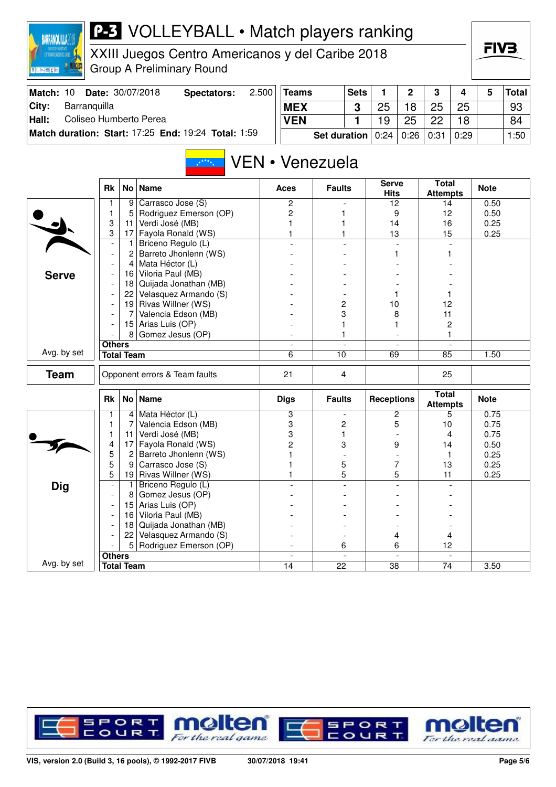| ١ | <b>WANOLITI</b><br><b>TOTAL CON DIRECTIVE</b> |  |
|---|-----------------------------------------------|--|
|   | CENTROANERCANDS Y DEL CARINE                  |  |
|   |                                               |  |

XXIII Juegos Centro Americanos y del Caribe 2018 Group A Preliminary Round



| Match: 10     | <b>Date: 30/07/2018</b>                             | Spectators: | 2.500 | <b>Teams</b>                                   | <b>Sets</b> |    | C  | -3 |      | Total│            |
|---------------|-----------------------------------------------------|-------------|-------|------------------------------------------------|-------------|----|----|----|------|-------------------|
| City:         | Barranguilla                                        |             |       | <b>MEX</b>                                     |             |    | 18 | 25 | 25   | 93                |
| $\vert$ Hall: | Coliseo Humberto Perea                              |             |       | <b>VEN</b>                                     |             | 19 | 25 | つつ | 18   | 84                |
|               | Match duration: Start: 17:25 End: 19:24 Total: 1:59 |             |       | <b>Set duration</b> $0:24 \mid 0:26 \mid 0:31$ |             |    |    |    | 0:29 | 1:50 <sub>1</sub> |

#### VEN • Venezuela  $\frac{1}{x^{k+k}x}$

|              | <b>Rk</b>                |                   | No   Name                     | <b>Aces</b>    | <b>Faults</b>   | <b>Serve</b><br><b>Hits</b> | <b>Total</b><br><b>Attempts</b> | <b>Note</b> |
|--------------|--------------------------|-------------------|-------------------------------|----------------|-----------------|-----------------------------|---------------------------------|-------------|
|              | 1                        | 9                 | Carrasco Jose (S)             | $\overline{c}$ |                 | 12                          | 14                              | 0.50        |
|              | $\mathbf{1}$             | 5                 | Rodriguez Emerson (OP)        | 2              | 1               | 9                           | 12                              | 0.50        |
|              | 3                        | 11                | Verdi José (MB)               | 1              | 1               | 14                          | 16                              | 0.25        |
|              | 3                        | 17                | Fayola Ronald (WS)            | 1              | 1               | 13                          | 15                              | 0.25        |
|              | $\overline{\phantom{a}}$ | 1                 | Briceno Regulo (L)            |                |                 | $\overline{\phantom{a}}$    | $\overline{a}$                  |             |
|              | $\overline{\phantom{a}}$ | 2                 | Barreto Jhonlenn (WS)         |                |                 |                             |                                 |             |
|              |                          | 4                 | Mata Héctor (L)               |                |                 |                             |                                 |             |
| <b>Serve</b> |                          | 16                | Viloria Paul (MB)             |                |                 |                             |                                 |             |
|              | $\overline{\phantom{a}}$ | 18                | Quijada Jonathan (MB)         |                |                 |                             |                                 |             |
|              | $\overline{a}$           | 22                | Velasquez Armando (S)         |                |                 |                             | 1                               |             |
|              | $\overline{\phantom{a}}$ |                   | 19 Rivas Willner (WS)         |                | 2               | 10                          | 12                              |             |
|              | $\overline{a}$           | $\overline{7}$    | Valencia Edson (MB)           |                | 3               | 8                           | 11                              |             |
|              |                          |                   | 15 Arias Luis (OP)            |                | 1               |                             | $\overline{c}$                  |             |
|              |                          | 8 <sup>1</sup>    | Gomez Jesus (OP)              |                | 1               |                             | 1                               |             |
|              | <b>Others</b>            |                   |                               |                |                 |                             | $\overline{a}$                  |             |
| Avg. by set  |                          | <b>Total Team</b> |                               | 6              | $\overline{10}$ | 69                          | 85                              | 1.50        |
| <b>Team</b>  |                          |                   | Opponent errors & Team faults | 21             | 4               |                             | 25                              |             |
|              | <b>Rk</b>                |                   | No   Name                     | <b>Digs</b>    | <b>Faults</b>   | <b>Receptions</b>           | <b>Total</b><br><b>Attempts</b> | <b>Note</b> |
|              | 1                        | 4                 | Mata Héctor (L)               | 3              |                 | $\overline{c}$              | 5                               | 0.75        |
|              | 1                        | 7                 | Valencia Edson (MB)           | 3              | $\overline{c}$  | 5                           | 10                              | 0.75        |
|              | 1                        | 11                | Verdi José (MB)               | 3              | 1               |                             | 4                               | 0.75        |
|              | 4                        | 17                | Fayola Ronald (WS)            | 2              | 3               | 9                           | 14                              | 0.50        |
|              | 5                        | $\overline{c}$    | Barreto Jhonlenn (WS)         |                |                 |                             | 1                               | 0.25        |
|              | 5                        | 9                 | Carrasco Jose (S)             |                | 5               | 7                           | 13                              | 0.25        |
|              | 5                        | 19                | Rivas Willner (WS)            |                | 5               | 5                           | 11                              | 0.25        |
| <b>Dig</b>   | $\blacksquare$           | $\mathbf{1}$      | Briceno Regulo (L)            |                |                 |                             |                                 |             |
|              | $\overline{\phantom{a}}$ | 8                 | Gomez Jesus (OP)              |                |                 |                             |                                 |             |
|              | $\overline{\phantom{a}}$ | 15                | Arias Luis (OP)               |                |                 |                             |                                 |             |
|              | $\overline{\phantom{a}}$ | 16                | Viloria Paul (MB)             |                |                 |                             |                                 |             |
|              | $\blacksquare$           | 18                | Quijada Jonathan (MB)         |                |                 |                             |                                 |             |
|              |                          | 22                | Velasquez Armando (S)         |                |                 | 4                           | 4                               |             |
|              |                          | 5 <sup>1</sup>    | Rodriguez Emerson (OP)        |                | 6               | 6                           | 12                              |             |
|              | <b>Others</b>            |                   |                               | $\blacksquare$ | $\overline{a}$  | $\sim$                      | $\bar{a}$                       |             |
| Avg. by set  |                          | <b>Total Team</b> |                               | 14             | 22              | 38                          | 74                              | 3.50        |